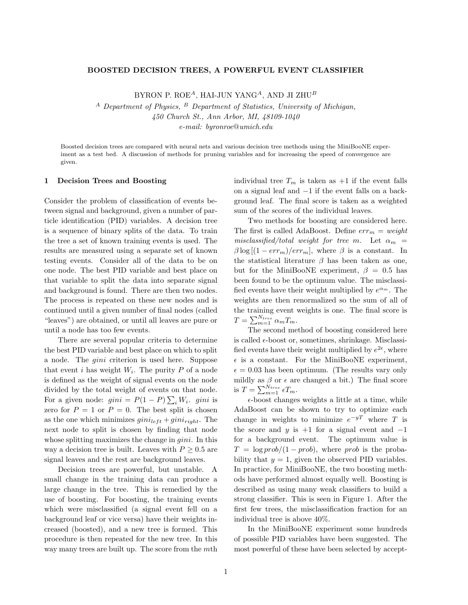#### BOOSTED DECISION TREES, A POWERFUL EVENT CLASSIFIER

BYRON P. ROE<sup>A</sup>, HAI-JUN YANG<sup>A</sup>, AND JI ZHU<sup>B</sup>

 $A$  Department of Physics,  $B$  Department of Statistics, University of Michigan, 450 Church St., Ann Arbor, MI, 48109-1040 e-mail: byronroe@umich.edu

Boosted decision trees are compared with neural nets and various decision tree methods using the MiniBooNE experiment as a test bed. A discussion of methods for pruning variables and for increasing the speed of convergence are given.

#### 1 Decision Trees and Boosting

Consider the problem of classification of events between signal and background, given a number of particle identification (PID) variables. A decision tree is a sequence of binary splits of the data. To train the tree a set of known training events is used. The results are measured using a separate set of known testing events. Consider all of the data to be on one node. The best PID variable and best place on that variable to split the data into separate signal and background is found. There are then two nodes. The process is repeated on these new nodes and is continued until a given number of final nodes (called "leaves") are obtained, or until all leaves are pure or until a node has too few events.

There are several popular criteria to determine the best PID variable and best place on which to split a node. The gini criterion is used here. Suppose that event *i* has weight  $W_i$ . The purity P of a node is defined as the weight of signal events on the node divided by the total weight of events on that node. For a given node:  $gini = P(1 - P) \sum_i W_i$ .  $gini$  is zero for  $P = 1$  or  $P = 0$ . The best split is chosen as the one which minimizes  $gini_{left}$  +  $gini_{right}$ . The next node to split is chosen by finding that node whose splitting maximizes the change in *gini*. In this way a decision tree is built. Leaves with  $P \geq 0.5$  are signal leaves and the rest are background leaves.

Decision trees are powerful, but unstable. A small change in the training data can produce a large change in the tree. This is remedied by the use of boosting. For boosting, the training events which were misclassified (a signal event fell on a background leaf or vice versa) have their weights increased (boosted), and a new tree is formed. This procedure is then repeated for the new tree. In this way many trees are built up. The score from the mth individual tree  $T_m$  is taken as  $+1$  if the event falls on a signal leaf and −1 if the event falls on a background leaf. The final score is taken as a weighted sum of the scores of the individual leaves.

Two methods for boosting are considered here. The first is called AdaBoost. Define  $err_m = weight$ misclassified/total weight for tree m. Let  $\alpha_m$  =  $\beta \log[(1 - err_m)/err_m]$ , where  $\beta$  is a constant. In the statistical literature  $\beta$  has been taken as one, but for the MiniBooNE experiment,  $\beta = 0.5$  has been found to be the optimum value. The misclassified events have their weight multiplied by  $e^{\alpha_m}$ . The weights are then renormalized so the sum of all of the training event weights is one. The final score is  $T = \sum_{m=1}^{N_{tree}} \alpha_m T_m.$ 

The second method of boosting considered here is called  $\epsilon$ -boost or, sometimes, shrinkage. Misclassified events have their weight multiplied by  $e^{2\epsilon}$ , where  $\epsilon$  is a constant. For the MiniBooNE experiment,  $\epsilon = 0.03$  has been optimum. (The results vary only mildly as  $\beta$  or  $\epsilon$  are changed a bit.) The final score is  $T = \sum_{m=1}^{N_{tree}} \epsilon T_m$ .

 $\epsilon$ -boost changes weights a little at a time, while AdaBoost can be shown to try to optimize each change in weights to minimize  $e^{-yT}$  where T is the score and y is  $+1$  for a signal event and  $-1$ for a background event. The optimum value is  $T = \log prob/(1-prob)$ , where prob is the probability that  $y = 1$ , given the observed PID variables. In practice, for MiniBooNE, the two boosting methods have performed almost equally well. Boosting is described as using many weak classifiers to build a strong classifier. This is seen in Figure 1. After the first few trees, the misclassification fraction for an individual tree is above 40%.

In the MiniBooNE experiment some hundreds of possible PID variables have been suggested. The most powerful of these have been selected by accept-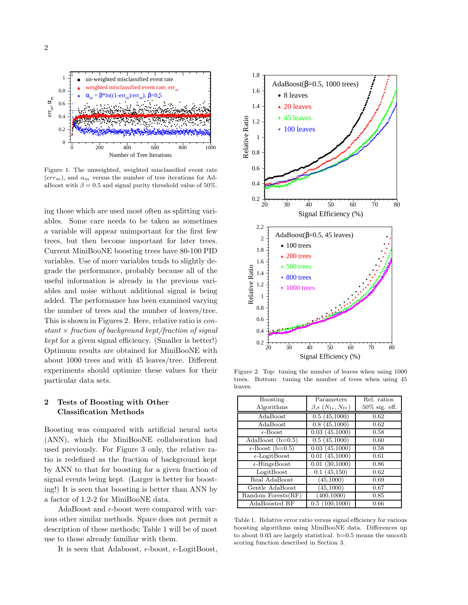

Figure 1. The unweighted, weighted misclassified event rate  $(err_m)$ , and  $\alpha_m$  versus the number of tree iterations for AdaBoost with  $\beta = 0.5$  and signal purity threshold value of 50%.

ing those which are used most often as splitting variables. Some care needs to be taken as sometimes a variable will appear unimportant for the first few trees, but then become important for later trees. Current MiniBooNE boosting trees have 80-100 PID variables. Use of more variables tends to slightly degrade the performance, probably because all of the useful information is already in the previous variables and noise without additional signal is being added. The performance has been examined varying the number of trees and the number of leaves/tree. This is shown in Figures 2. Here, relative ratio is constant  $\times$  fraction of background kept/fraction of signal kept for a given signal efficiency. (Smaller is better!) Optimum results are obtained for MiniBooNE with about 1000 trees and with 45 leaves/tree. Different experiments should optimize these values for their particular data sets.

# 2 Tests of Boosting with Other Classification Methods

Boosting was compared with artificial neural nets (ANN), which the MiniBooNE collaboration had used previously. For Figure 3 only, the relative ratio is redefined as the fraction of background kept by ANN to that for boosting for a given fraction of signal events being kept. (Larger is better for boosting!) It is seen that boosting is better than ANN by a factor of 1.2-2 for MiniBooNE data.

AdaBoost and  $\epsilon$ -boost were compared with various other similar methods. Space does not permit a description of these methods; Table 1 will be of most use to those already familiar with them.

It is seen that Adaboost,  $\epsilon$ -boost,  $\epsilon$ -LogitBoost,



Figure 2. Top: tuning the number of leaves when using 1000 trees. Bottom: tuning the number of trees when using 45 leaves.

| Boosting                  | Parameters                                    | Rel. ratios      |
|---------------------------|-----------------------------------------------|------------------|
| Algorithms                | $\beta, \epsilon \left(N_{lv}, N_{tr}\right)$ | $50\%$ sig. eff. |
| AdaBoost                  | 0.5(45,1000)                                  | 0.62             |
| AdaBoost                  | 0.8(45,1000)                                  | 0.62             |
| $\epsilon$ -Boost         | 0.03(45,1000)                                 | 0.58             |
| AdaBoost $(b=0.5)$        | 0.5(45,1000)                                  | 0.60             |
| $\epsilon$ -Boost (b=0.5) | 0.03(45,1000)                                 | 0.58             |
| $\epsilon$ -LogitBoost    | 0.01(45,1000)                                 | 0.61             |
| $\epsilon$ -HingeBoost    | 0.01(30,1000)                                 | 0.86             |
| LogitBoost                | 0.1(45,150)                                   | 0.62             |
| Real AdaBoost             | (45,1000)                                     | 0.69             |
| Gentle AdaBoost           | (45, 1000)                                    | 0.67             |
| Random Forests $(RF)$     | (400, 1000)                                   | 0.85             |
| AdaBoosted RF             | 0.5(100,1000)                                 | 0.66             |

Table 1. Relative error ratio versus signal efficiency for various boosting algorithms using MiniBooNE data. Differences up to about 0.03 are largely statistical. b=0.5 means the smooth scoring function described in Section 3.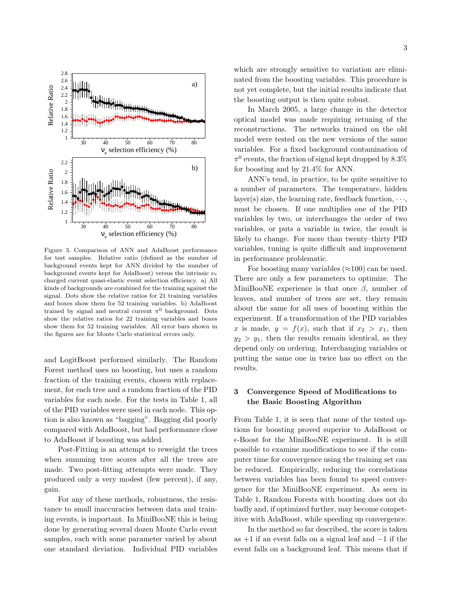

Figure 3. Comparison of ANN and AdaBoost performance for test samples. Relative ratio (defined as the number of background events kept for ANN divided by the number of background events kept for AdaBoost) versus the intrinsic  $\nu_e$ charged current quasi-elastic event selection efficiency. a) All kinds of backgrounds are combined for the training against the signal. Dots show the relative ratios for 21 training variables and boxes show them for 52 training variables. b) AdaBoost trained by signal and neutral current  $\pi^0$  background. Dots show the relative ratios for 22 training variables and boxes show them for 52 training variables. All error bars shown in the figures are for Monte Carlo statistical errors only.

and LogitBoost performed similarly. The Random Forest method uses no boosting, but uses a random fraction of the training events, chosen with replacement, for each tree and a random fraction of the PID variables for each node. For the tests in Table 1, all of the PID variables were used in each node. This option is also known as "bagging". Bagging did poorly compared with AdaBoost, but had performance close to AdaBoost if boosting was added.

Post-Fitting is an attempt to reweight the trees when summing tree scores after all the trees are made. Two post-fitting attempts were made. They produced only a very modest (few percent), if any, gain.

For any of these methods, robustness, the resistance to small inaccuracies between data and training events, is important. In MiniBooNE this is being done by generating several dozen Monte Carlo event samples, each with some parameter varied by about one standard deviation. Individual PID variables which are strongly sensitive to variation are eliminated from the boosting variables. This procedure is not yet complete, but the initial results indicate that the boosting output is then quite robust.

In March 2005, a large change in the detector optical model was made requiring retuning of the reconstructions. The networks trained on the old model were tested on the new versions of the same variables. For a fixed background contamination of  $\pi^0$  events, the fraction of signal kept dropped by 8.3% for boosting and by 21.4% for ANN.

ANN's tend, in practice, to be quite sensitive to a number of parameters. The temperature, hidden layer(s) size, the learning rate, feedback function,  $\cdots$ , must be chosen. If one multiplies one of the PID variables by two, or interchanges the order of two variables, or puts a variable in twice, the result is likely to change. For more than twenty–thirty PID variables, tuning is quite difficult and improvement in performance problematic.

For boosting many variables  $(\approx 100)$  can be used. There are only a few parameters to optimize. The MiniBooNE experience is that once  $\beta$ , number of leaves, and number of trees are set, they remain about the same for all uses of boosting within the experiment. If a transformation of the PID variables x is made,  $y = f(x)$ , such that if  $x_2 > x_1$ , then  $y_2 > y_1$ , then the results remain identical, as they depend only on ordering. Interchanging variables or putting the same one in twice has no effect on the results.

# 3 Convergence Speed of Modifications to the Basic Boosting Algorithm

From Table 1, it is seen that none of the tested options for boosting proved superior to AdaBoost or  $\epsilon$ -Boost for the MiniBooNE experiment. It is still possible to examine modifications to see if the computer time for convergence using the training set can be reduced. Empirically, reducing the correlations between variables has been found to speed convergence for the MiniBooNE experiment. As seen in Table 1, Random Forests with boosting does not do badly and, if optimized further, may become competitive with AdaBoost, while speeding up convergence.

In the method so far described, the score is taken as  $+1$  if an event falls on a signal leaf and  $-1$  if the event falls on a background leaf. This means that if